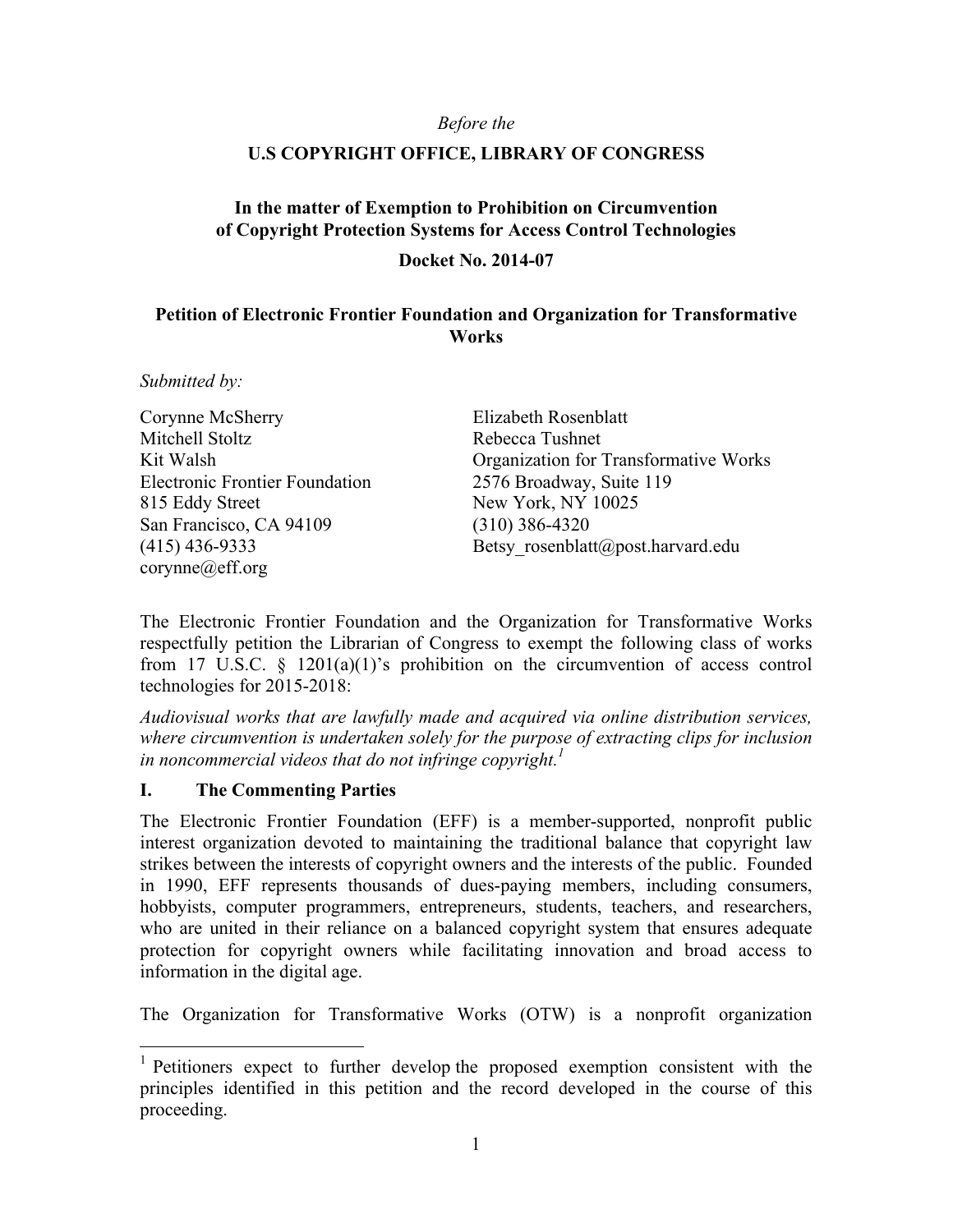#### *Before the*

### **U.S COPYRIGHT OFFICE, LIBRARY OF CONGRESS**

### **In the matter of Exemption to Prohibition on Circumvention of Copyright Protection Systems for Access Control Technologies**

**Docket No. 2014-07**

### **Petition of Electronic Frontier Foundation and Organization for Transformative Works**

*Submitted by:*

Corynne McSherry Mitchell Stoltz Kit Walsh Electronic Frontier Foundation 815 Eddy Street San Francisco, CA 94109 (415) 436-9333 corynne@eff.org

Elizabeth Rosenblatt Rebecca Tushnet Organization for Transformative Works 2576 Broadway, Suite 119 New York, NY 10025 (310) 386-4320 Betsy rosenblatt@post.harvard.edu

The Electronic Frontier Foundation and the Organization for Transformative Works respectfully petition the Librarian of Congress to exempt the following class of works from 17 U.S.C. § 1201(a)(1)'s prohibition on the circumvention of access control technologies for 2015-2018:

*Audiovisual works that are lawfully made and acquired via online distribution services, where circumvention is undertaken solely for the purpose of extracting clips for inclusion in noncommercial videos that do not infringe copyright. 1*

#### **I. The Commenting Parties**

The Electronic Frontier Foundation (EFF) is a member-supported, nonprofit public interest organization devoted to maintaining the traditional balance that copyright law strikes between the interests of copyright owners and the interests of the public. Founded in 1990, EFF represents thousands of dues-paying members, including consumers, hobbyists, computer programmers, entrepreneurs, students, teachers, and researchers, who are united in their reliance on a balanced copyright system that ensures adequate protection for copyright owners while facilitating innovation and broad access to information in the digital age.

The Organization for Transformative Works (OTW) is a nonprofit organization

 <sup>1</sup> Petitioners expect to further develop the proposed exemption consistent with the principles identified in this petition and the record developed in the course of this proceeding.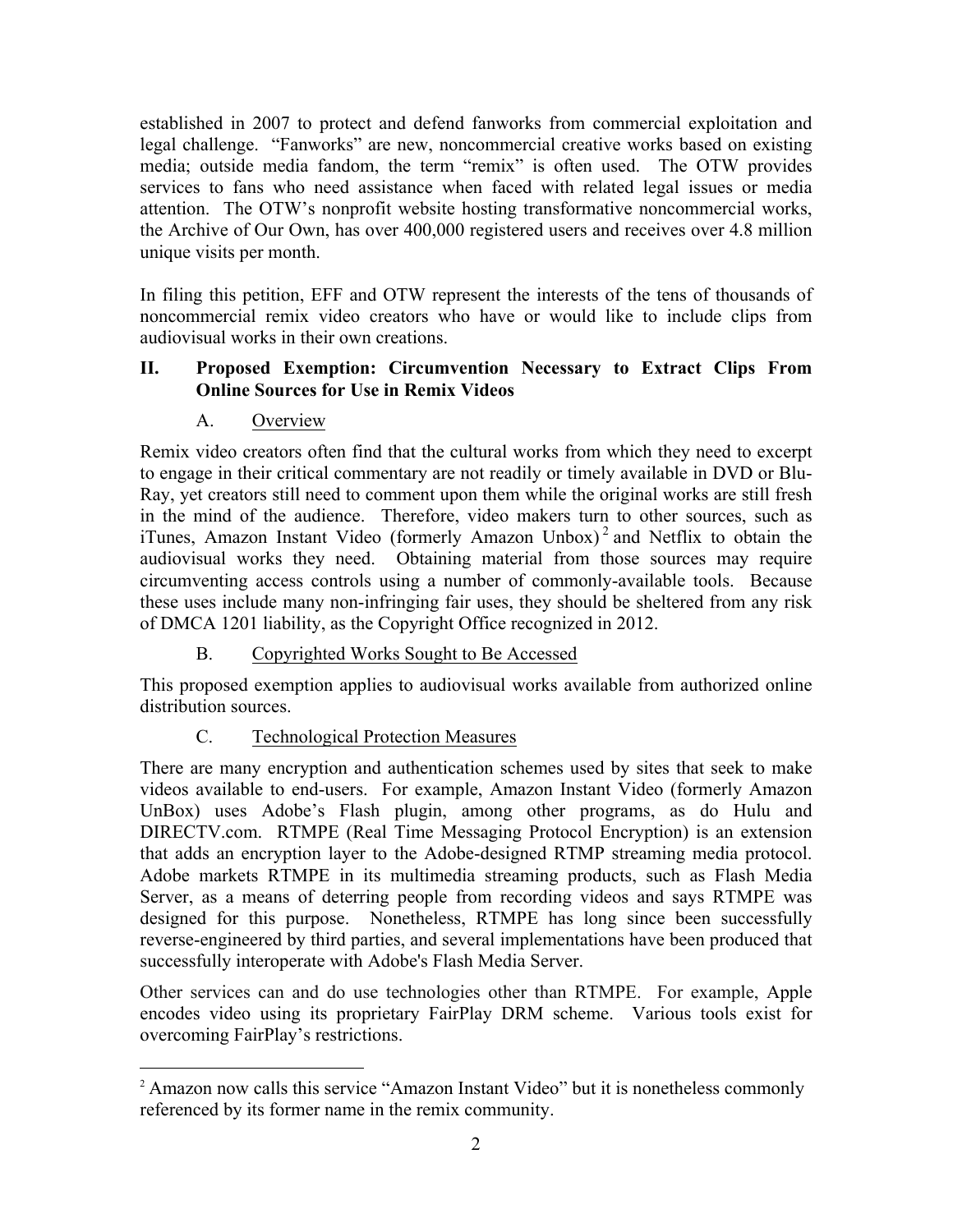established in 2007 to protect and defend fanworks from commercial exploitation and legal challenge. "Fanworks" are new, noncommercial creative works based on existing media; outside media fandom, the term "remix" is often used. The OTW provides services to fans who need assistance when faced with related legal issues or media attention. The OTW's nonprofit website hosting transformative noncommercial works, the Archive of Our Own, has over 400,000 registered users and receives over 4.8 million unique visits per month.

In filing this petition, EFF and OTW represent the interests of the tens of thousands of noncommercial remix video creators who have or would like to include clips from audiovisual works in their own creations.

### **II. Proposed Exemption: Circumvention Necessary to Extract Clips From Online Sources for Use in Remix Videos**

## A. Overview

Remix video creators often find that the cultural works from which they need to excerpt to engage in their critical commentary are not readily or timely available in DVD or Blu-Ray, yet creators still need to comment upon them while the original works are still fresh in the mind of the audience. Therefore, video makers turn to other sources, such as iTunes, Amazon Instant Video (formerly Amazon Unbox)<sup>2</sup> and Netflix to obtain the audiovisual works they need. Obtaining material from those sources may require circumventing access controls using a number of commonly-available tools. Because these uses include many non-infringing fair uses, they should be sheltered from any risk of DMCA 1201 liability, as the Copyright Office recognized in 2012.

## B. Copyrighted Works Sought to Be Accessed

This proposed exemption applies to audiovisual works available from authorized online distribution sources.

# C. Technological Protection Measures

There are many encryption and authentication schemes used by sites that seek to make videos available to end-users. For example, Amazon Instant Video (formerly Amazon UnBox) uses Adobe's Flash plugin, among other programs, as do Hulu and DIRECTV.com. RTMPE (Real Time Messaging Protocol Encryption) is an extension that adds an encryption layer to the Adobe-designed RTMP streaming media protocol. Adobe markets RTMPE in its multimedia streaming products, such as Flash Media Server, as a means of deterring people from recording videos and says RTMPE was designed for this purpose. Nonetheless, RTMPE has long since been successfully reverse-engineered by third parties, and several implementations have been produced that successfully interoperate with Adobe's Flash Media Server.

Other services can and do use technologies other than RTMPE. For example, Apple encodes video using its proprietary FairPlay DRM scheme. Various tools exist for overcoming FairPlay's restrictions.

<sup>&</sup>lt;sup>2</sup> Amazon now calls this service "Amazon Instant Video" but it is nonetheless commonly referenced by its former name in the remix community.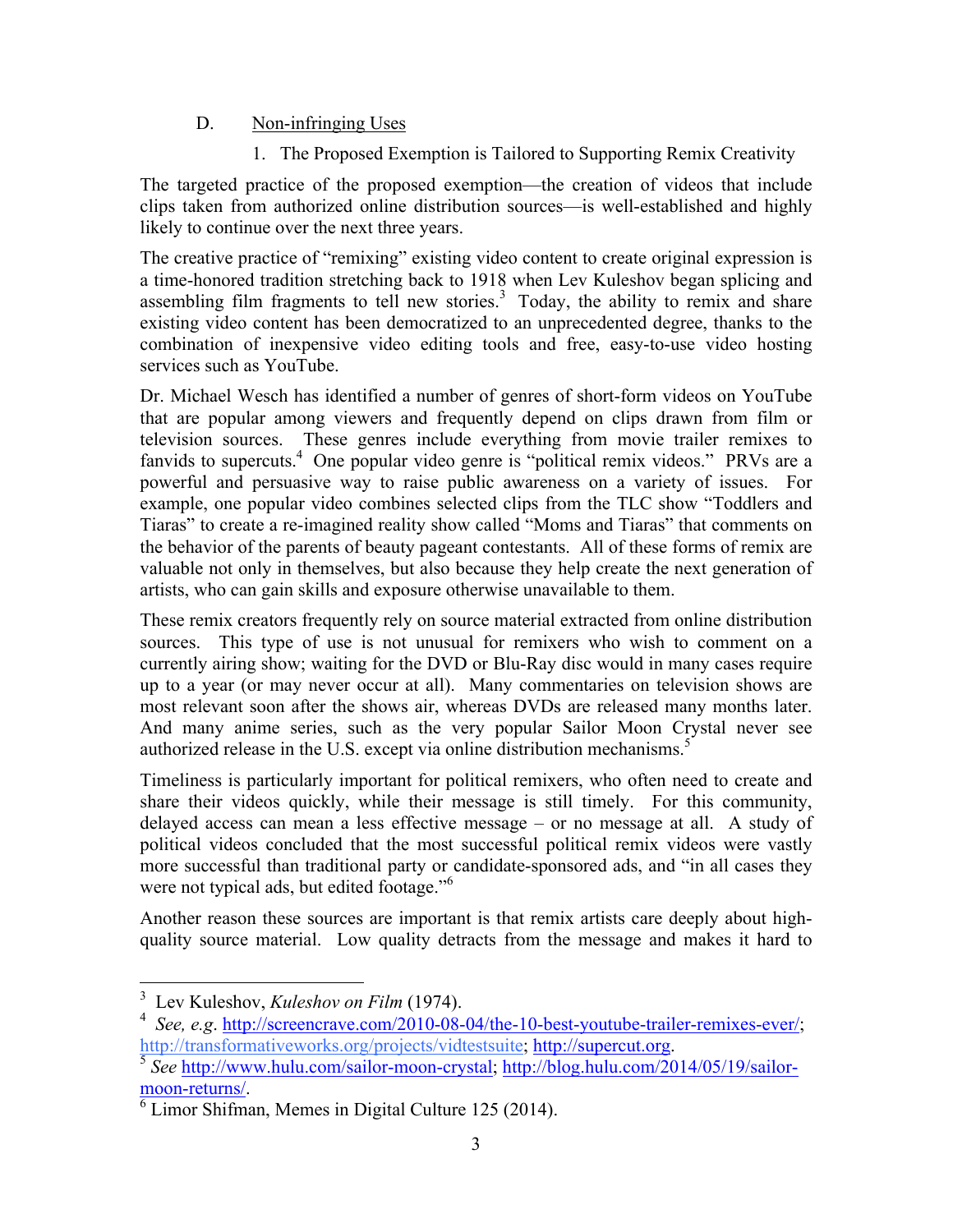### D. Non-infringing Uses

1. The Proposed Exemption is Tailored to Supporting Remix Creativity

The targeted practice of the proposed exemption—the creation of videos that include clips taken from authorized online distribution sources—is well-established and highly likely to continue over the next three years.

The creative practice of "remixing" existing video content to create original expression is a time-honored tradition stretching back to 1918 when Lev Kuleshov began splicing and assembling film fragments to tell new stories.<sup>3</sup> Today, the ability to remix and share existing video content has been democratized to an unprecedented degree, thanks to the combination of inexpensive video editing tools and free, easy-to-use video hosting services such as YouTube.

Dr. Michael Wesch has identified a number of genres of short-form videos on YouTube that are popular among viewers and frequently depend on clips drawn from film or television sources. These genres include everything from movie trailer remixes to fanvids to supercuts.<sup>4</sup> One popular video genre is "political remix videos." PRVs are a powerful and persuasive way to raise public awareness on a variety of issues. For example, one popular video combines selected clips from the TLC show "Toddlers and Tiaras" to create a re-imagined reality show called "Moms and Tiaras" that comments on the behavior of the parents of beauty pageant contestants. All of these forms of remix are valuable not only in themselves, but also because they help create the next generation of artists, who can gain skills and exposure otherwise unavailable to them.

These remix creators frequently rely on source material extracted from online distribution sources. This type of use is not unusual for remixers who wish to comment on a currently airing show; waiting for the DVD or Blu-Ray disc would in many cases require up to a year (or may never occur at all). Many commentaries on television shows are most relevant soon after the shows air, whereas DVDs are released many months later. And many anime series, such as the very popular Sailor Moon Crystal never see authorized release in the U.S. except via online distribution mechanisms.<sup>5</sup>

Timeliness is particularly important for political remixers, who often need to create and share their videos quickly, while their message is still timely. For this community, delayed access can mean a less effective message – or no message at all. A study of political videos concluded that the most successful political remix videos were vastly more successful than traditional party or candidate-sponsored ads, and "in all cases they were not typical ads, but edited footage."<sup>6</sup>

Another reason these sources are important is that remix artists care deeply about highquality source material. Low quality detracts from the message and makes it hard to

 <sup>3</sup> Lev Kuleshov, *Kuleshov on Film* (1974).

<sup>&</sup>lt;sup>4</sup> *See, e.g.* http://screencrave.com/2010-08-04/the-10-best-youtube-trailer-remixes-ever/; http://transformativeworks.org/projects/vidtestsuite; http://supercut.org.

<sup>&</sup>lt;sup>5</sup> See http://www.hulu.com/sailor-moon-crystal; http://blog.hulu.com/2014/05/19/sailor- $\frac{\text{moon-returns/}}{6}$  Limor Shifman, Memes in Digital Culture 125 (2014).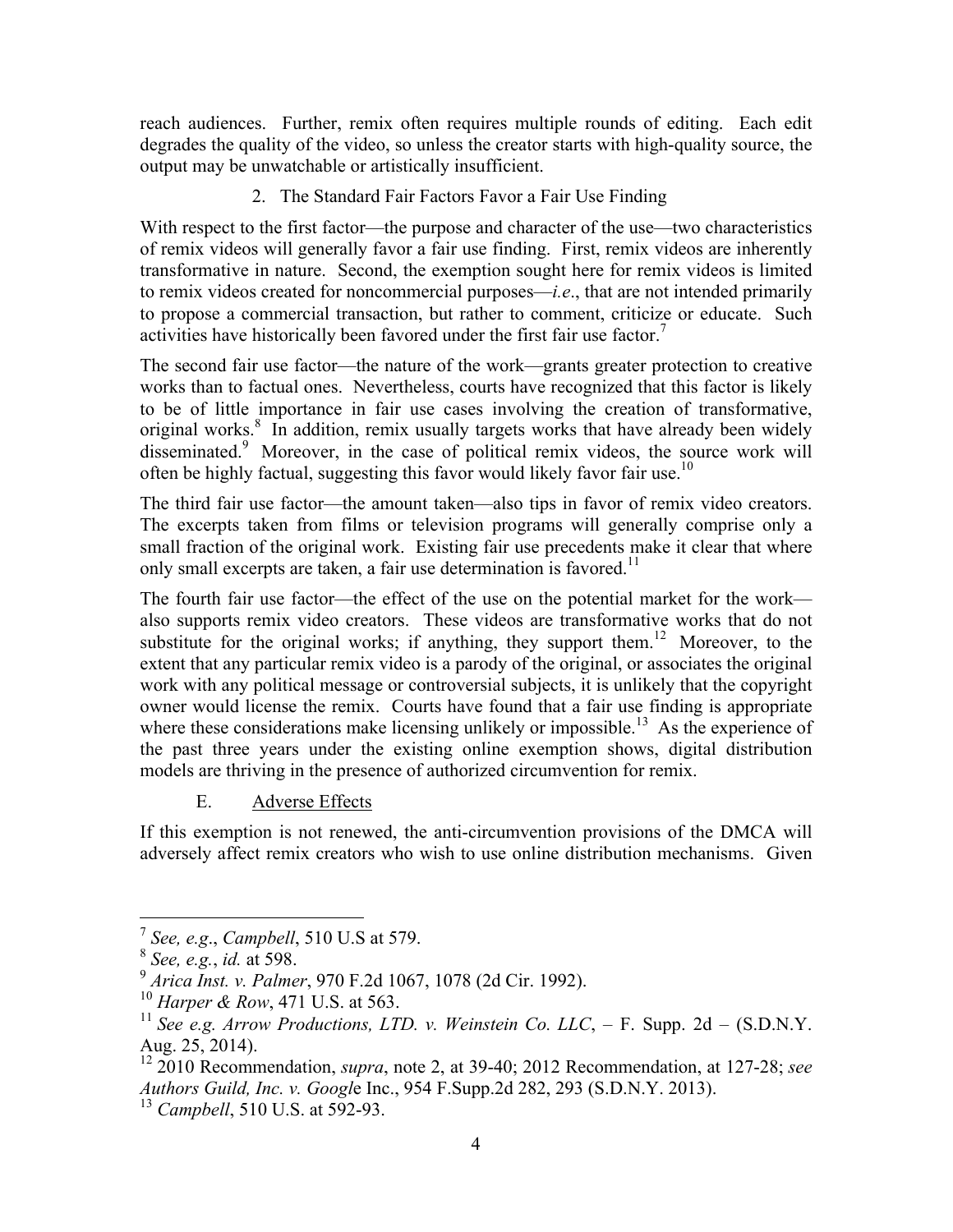reach audiences. Further, remix often requires multiple rounds of editing. Each edit degrades the quality of the video, so unless the creator starts with high-quality source, the output may be unwatchable or artistically insufficient.

2. The Standard Fair Factors Favor a Fair Use Finding

With respect to the first factor—the purpose and character of the use—two characteristics of remix videos will generally favor a fair use finding. First, remix videos are inherently transformative in nature. Second, the exemption sought here for remix videos is limited to remix videos created for noncommercial purposes—*i.e*., that are not intended primarily to propose a commercial transaction, but rather to comment, criticize or educate. Such activities have historically been favored under the first fair use factor.<sup>7</sup>

The second fair use factor—the nature of the work—grants greater protection to creative works than to factual ones. Nevertheless, courts have recognized that this factor is likely to be of little importance in fair use cases involving the creation of transformative, original works.<sup>8</sup> In addition, remix usually targets works that have already been widely disseminated.<sup>9</sup> Moreover, in the case of political remix videos, the source work will often be highly factual, suggesting this favor would likely favor fair use.<sup>10</sup>

The third fair use factor—the amount taken—also tips in favor of remix video creators. The excerpts taken from films or television programs will generally comprise only a small fraction of the original work. Existing fair use precedents make it clear that where only small excerpts are taken, a fair use determination is favored.<sup>11</sup>

The fourth fair use factor—the effect of the use on the potential market for the work also supports remix video creators. These videos are transformative works that do not substitute for the original works; if anything, they support them.<sup>12</sup> Moreover, to the extent that any particular remix video is a parody of the original, or associates the original work with any political message or controversial subjects, it is unlikely that the copyright owner would license the remix. Courts have found that a fair use finding is appropriate where these considerations make licensing unlikely or impossible.<sup>13</sup> As the experience of the past three years under the existing online exemption shows, digital distribution models are thriving in the presence of authorized circumvention for remix.

### E. Adverse Effects

If this exemption is not renewed, the anti-circumvention provisions of the DMCA will adversely affect remix creators who wish to use online distribution mechanisms. Given

 <sup>7</sup> *See, e.g*., *Campbell*, 510 U.S at 579.

<sup>8</sup> *See, e.g.*, *id.* at 598. <sup>9</sup> *Arica Inst. v. Palmer*, 970 F.2d 1067, 1078 (2d Cir. 1992).

<sup>10</sup> *Harper & Row*, 471 U.S. at 563.

<sup>&</sup>lt;sup>11</sup> *See e.g. Arrow Productions, LTD. v. Weinstein Co. LLC*,  $-$  F. Supp. 2d  $-$  (S.D.N.Y.) Aug. 25, 2014).

<sup>12</sup> 2010 Recommendation, *supra*, note 2, at 39-40; 2012 Recommendation, at 127-28; *see Authors Guild, Inc. v. Googl*e Inc., 954 F.Supp.2d 282, 293 (S.D.N.Y. 2013). <sup>13</sup> *Campbell*, 510 U.S. at 592-93.